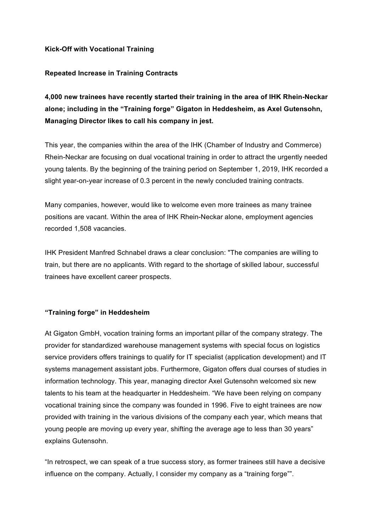# **Kick-Off with Vocational Training**

## **Repeated Increase in Training Contracts**

**4,000 new trainees have recently started their training in the area of IHK Rhein-Neckar alone; including in the "Training forge" Gigaton in Heddesheim, as Axel Gutensohn, Managing Director likes to call his company in jest.**

This year, the companies within the area of the IHK (Chamber of Industry and Commerce) Rhein-Neckar are focusing on dual vocational training in order to attract the urgently needed young talents. By the beginning of the training period on September 1, 2019, IHK recorded a slight year-on-year increase of 0.3 percent in the newly concluded training contracts.

Many companies, however, would like to welcome even more trainees as many trainee positions are vacant. Within the area of IHK Rhein-Neckar alone, employment agencies recorded 1,508 vacancies.

IHK President Manfred Schnabel draws a clear conclusion: "The companies are willing to train, but there are no applicants. With regard to the shortage of skilled labour, successful trainees have excellent career prospects.

### **"Training forge" in Heddesheim**

At Gigaton GmbH, vocation training forms an important pillar of the company strategy. The provider for standardized warehouse management systems with special focus on logistics service providers offers trainings to qualify for IT specialist (application development) and IT systems management assistant jobs. Furthermore, Gigaton offers dual courses of studies in information technology. This year, managing director Axel Gutensohn welcomed six new talents to his team at the headquarter in Heddesheim. "We have been relying on company vocational training since the company was founded in 1996. Five to eight trainees are now provided with training in the various divisions of the company each year, which means that young people are moving up every year, shifting the average age to less than 30 years" explains Gutensohn.

"In retrospect, we can speak of a true success story, as former trainees still have a decisive influence on the company. Actually, I consider my company as a "training forge"".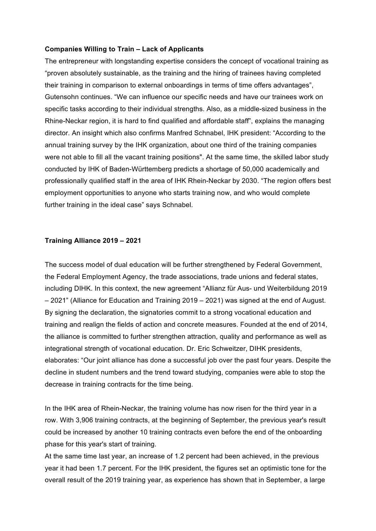### **Companies Willing to Train – Lack of Applicants**

The entrepreneur with longstanding expertise considers the concept of vocational training as "proven absolutely sustainable, as the training and the hiring of trainees having completed their training in comparison to external onboardings in terms of time offers advantages", Gutensohn continues. "We can influence our specific needs and have our trainees work on specific tasks according to their individual strengths. Also, as a middle-sized business in the Rhine-Neckar region, it is hard to find qualified and affordable staff", explains the managing director. An insight which also confirms Manfred Schnabel, IHK president: "According to the annual training survey by the IHK organization, about one third of the training companies were not able to fill all the vacant training positions". At the same time, the skilled labor study conducted by IHK of Baden-Württemberg predicts a shortage of 50,000 academically and professionally qualified staff in the area of IHK Rhein-Neckar by 2030. "The region offers best employment opportunities to anyone who starts training now, and who would complete further training in the ideal case" says Schnabel.

#### **Training Alliance 2019 – 2021**

The success model of dual education will be further strengthened by Federal Government, the Federal Employment Agency, the trade associations, trade unions and federal states, including DIHK. In this context, the new agreement "Allianz für Aus- und Weiterbildung 2019 – 2021" (Alliance for Education and Training 2019 – 2021) was signed at the end of August. By signing the declaration, the signatories commit to a strong vocational education and training and realign the fields of action and concrete measures. Founded at the end of 2014, the alliance is committed to further strengthen attraction, quality and performance as well as integrational strength of vocational education. Dr. Eric Schweitzer, DIHK presidents, elaborates: "Our joint alliance has done a successful job over the past four years. Despite the decline in student numbers and the trend toward studying, companies were able to stop the decrease in training contracts for the time being.

In the IHK area of Rhein-Neckar, the training volume has now risen for the third year in a row. With 3,906 training contracts, at the beginning of September, the previous year's result could be increased by another 10 training contracts even before the end of the onboarding phase for this year's start of training.

At the same time last year, an increase of 1.2 percent had been achieved, in the previous year it had been 1.7 percent. For the IHK president, the figures set an optimistic tone for the overall result of the 2019 training year, as experience has shown that in September, a large